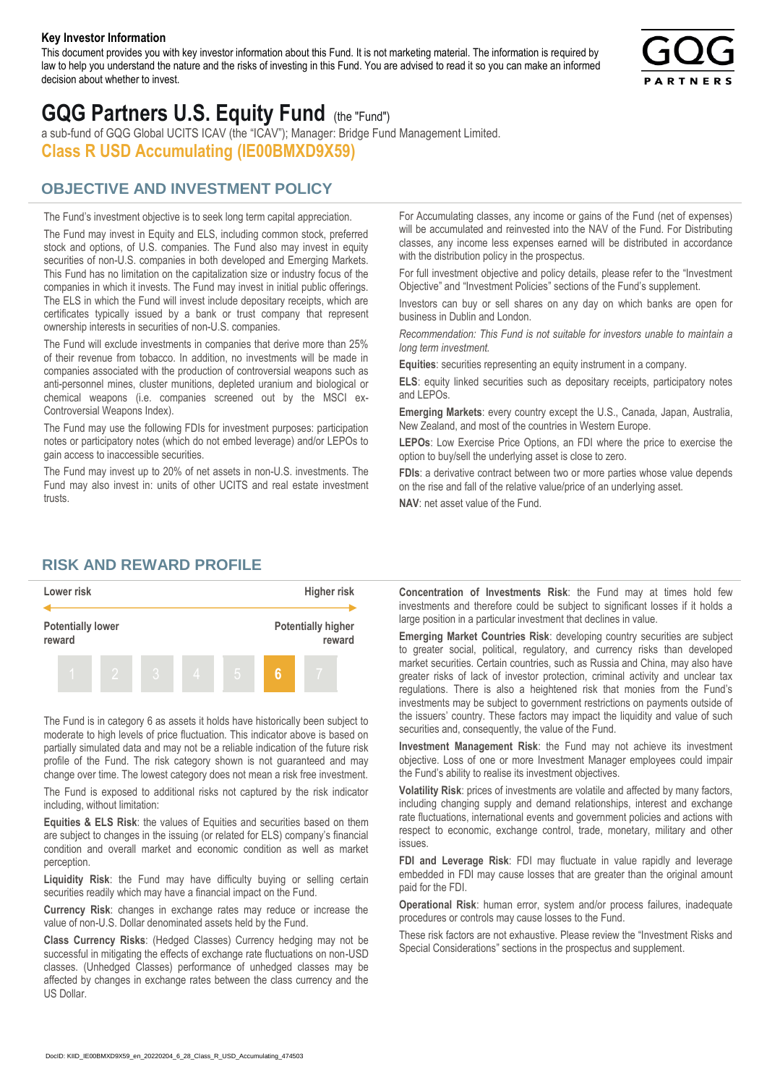#### **Key Investor Information**

This document provides you with key investor information about this Fund. It is not marketing material. The information is required by law to help you understand the nature and the risks of investing in this Fund. You are advised to read it so you can make an informed decision about whether to invest.



# **GQG Partners U.S. Equity Fund** (the "Fund")

a sub-fund of GQG Global UCITS ICAV (the "ICAV"); Manager: Bridge Fund Management Limited. **Class R USD Accumulating (IE00BMXD9X59)**

#### **OBJECTIVE AND INVESTMENT POLICY**

The Fund's investment objective is to seek long term capital appreciation. The Fund may invest in Equity and ELS, including common stock, preferred stock and options, of U.S. companies. The Fund also may invest in equity securities of non-U.S. companies in both developed and Emerging Markets. This Fund has no limitation on the capitalization size or industry focus of the companies in which it invests. The Fund may invest in initial public offerings. The ELS in which the Fund will invest include depositary receipts, which are certificates typically issued by a bank or trust company that represent ownership interests in securities of non-U.S. companies.

The Fund will exclude investments in companies that derive more than 25% of their revenue from tobacco. In addition, no investments will be made in companies associated with the production of controversial weapons such as anti-personnel mines, cluster munitions, depleted uranium and biological or chemical weapons (i.e. companies screened out by the MSCI ex-Controversial Weapons Index).

The Fund may use the following FDIs for investment purposes: participation notes or participatory notes (which do not embed leverage) and/or LEPOs to gain access to inaccessible securities.

The Fund may invest up to 20% of net assets in non-U.S. investments. The Fund may also invest in: units of other UCITS and real estate investment trusts.

For Accumulating classes, any income or gains of the Fund (net of expenses) will be accumulated and reinvested into the NAV of the Fund. For Distributing classes, any income less expenses earned will be distributed in accordance with the distribution policy in the prospectus.

For full investment objective and policy details, please refer to the "Investment Objective" and "Investment Policies" sections of the Fund's supplement.

Investors can buy or sell shares on any day on which banks are open for business in Dublin and London.

*Recommendation: This Fund is not suitable for investors unable to maintain a long term investment.*

**Equities**: securities representing an equity instrument in a company.

**ELS**: equity linked securities such as depositary receipts, participatory notes and LEPOs.

**Emerging Markets**: every country except the U.S., Canada, Japan, Australia, New Zealand, and most of the countries in Western Europe.

**LEPOs**: Low Exercise Price Options, an FDI where the price to exercise the option to buy/sell the underlying asset is close to zero.

**FDIs**: a derivative contract between two or more parties whose value depends on the rise and fall of the relative value/price of an underlying asset.

**NAV**: net asset value of the Fund.

#### **RISK AND REWARD PROFILE**



The Fund is in category 6 as assets it holds have historically been subject to moderate to high levels of price fluctuation. This indicator above is based on partially simulated data and may not be a reliable indication of the future risk profile of the Fund. The risk category shown is not guaranteed and may change over time. The lowest category does not mean a risk free investment.

The Fund is exposed to additional risks not captured by the risk indicator including, without limitation:

**Equities & ELS Risk**: the values of Equities and securities based on them are subject to changes in the issuing (or related for ELS) company's financial condition and overall market and economic condition as well as market perception.

**Liquidity Risk**: the Fund may have difficulty buying or selling certain securities readily which may have a financial impact on the Fund.

**Currency Risk**: changes in exchange rates may reduce or increase the value of non-U.S. Dollar denominated assets held by the Fund.

**Class Currency Risks**: (Hedged Classes) Currency hedging may not be successful in mitigating the effects of exchange rate fluctuations on non-USD classes. (Unhedged Classes) performance of unhedged classes may be affected by changes in exchange rates between the class currency and the US Dollar.

**Concentration of Investments Risk**: the Fund may at times hold few investments and therefore could be subject to significant losses if it holds a large position in a particular investment that declines in value.

**Emerging Market Countries Risk**: developing country securities are subject to greater social, political, regulatory, and currency risks than developed market securities. Certain countries, such as Russia and China, may also have greater risks of lack of investor protection, criminal activity and unclear tax regulations. There is also a heightened risk that monies from the Fund's investments may be subject to government restrictions on payments outside of the issuers' country. These factors may impact the liquidity and value of such securities and, consequently, the value of the Fund.

**Investment Management Risk**: the Fund may not achieve its investment objective. Loss of one or more Investment Manager employees could impair the Fund's ability to realise its investment objectives.

**Volatility Risk**: prices of investments are volatile and affected by many factors, including changing supply and demand relationships, interest and exchange rate fluctuations, international events and government policies and actions with respect to economic, exchange control, trade, monetary, military and other issues.

**FDI and Leverage Risk**: FDI may fluctuate in value rapidly and leverage embedded in FDI may cause losses that are greater than the original amount paid for the FDI.

**Operational Risk**: human error, system and/or process failures, inadequate procedures or controls may cause losses to the Fund.

These risk factors are not exhaustive. Please review the "Investment Risks and Special Considerations" sections in the prospectus and supplement.